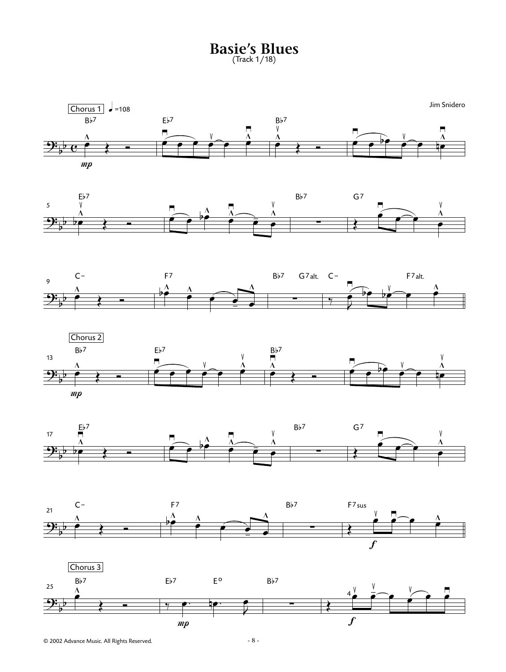**Basie's Blues** (Track 1/18)













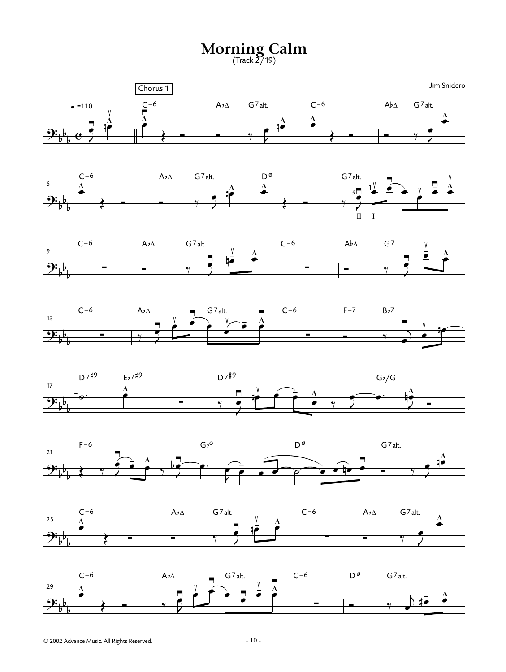**Morning Calm** (Track 2/19)



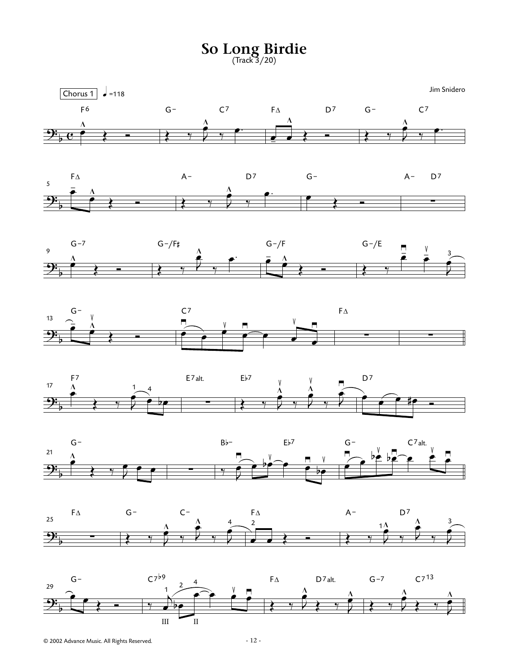**So Long Birdie** (Track 3/20)















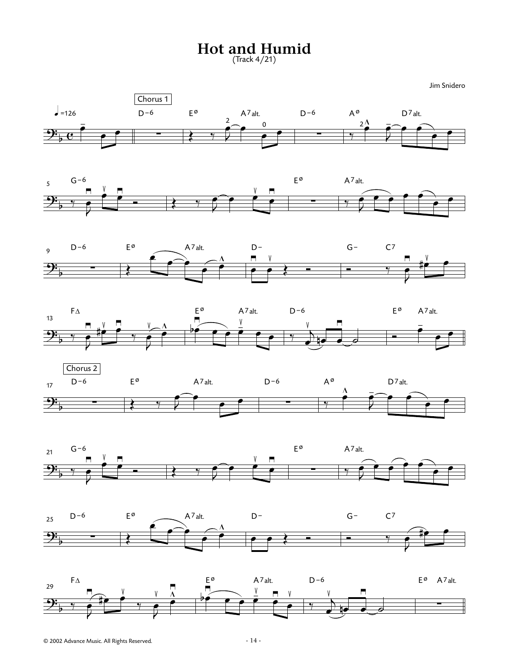**Hot and Humid**

(Track 4/21)

Jim Snidero















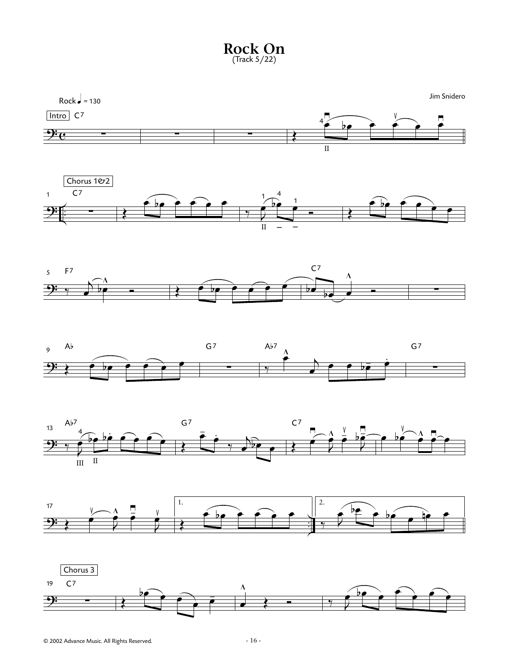











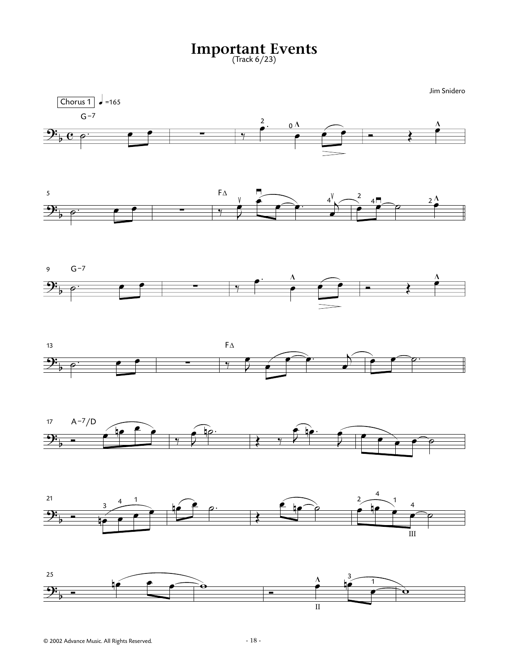**Important Events** (Track 6/23)

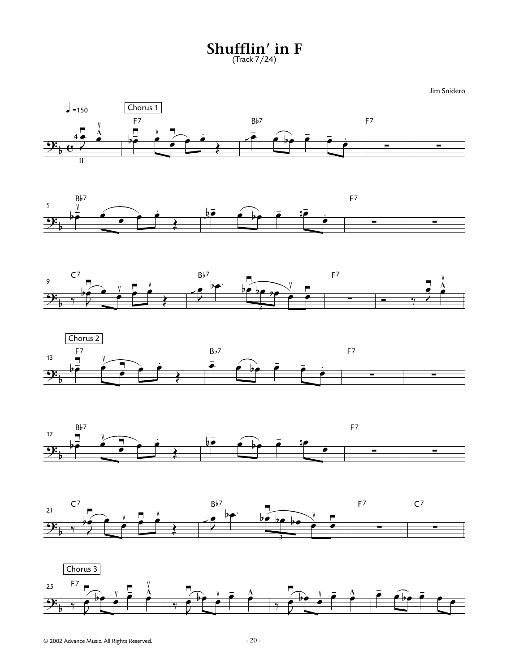**Shufflin' in F** (Track 7/24)

Jim Snidero













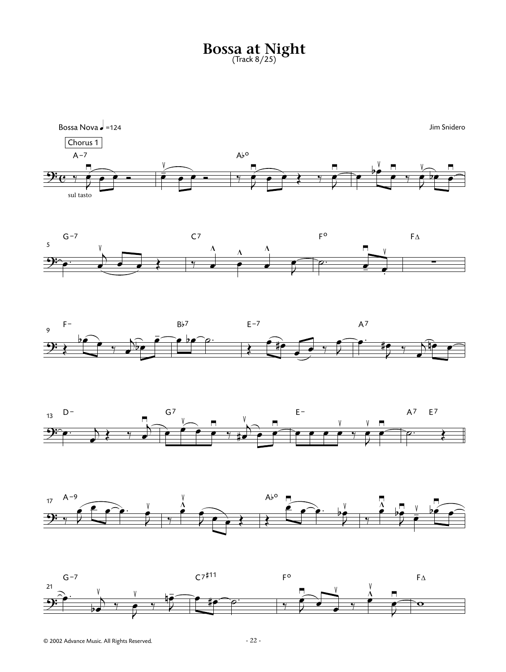## **Bossa at Night** (Track 8/25)











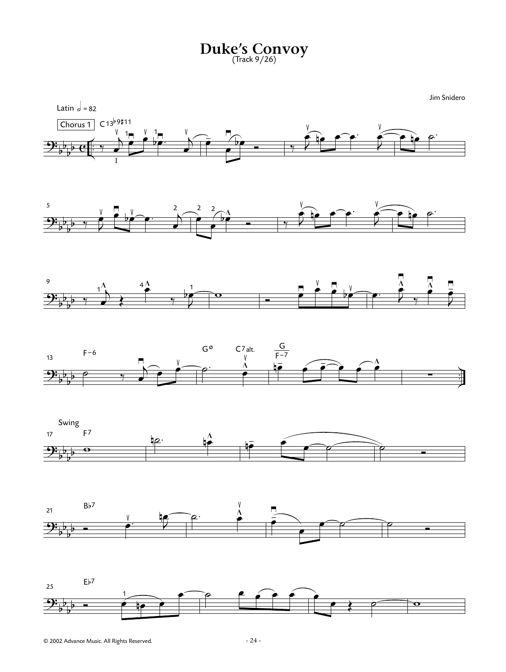**Duke's Convoy** (Track 9/26)

 $\equiv$ b l<br>h  $rac{b}{c}$ .<br>₹ Chorus 1 Latin  $\overline{a} = 82$  $\frac{1}{\sqrt{2}}$ I  $\frac{D}{2}$ œ  $\sum^{\frac{1}{2}}$ œ ≥ œ v 1<br>■ <u>b</u> bœ. <sup>≥</sup> <sup>j</sup> œ ≤  $C13^{b9#11}$  $\frac{1}{\sqrt{2}}$  $\frac{1}{\bullet}$ ≥  $\hat{b}$  $\blacksquare$   $\blacksquare$  $\frac{V}{2}$ ≤  $rac{p}{\sqrt{p}}$  $\frac{V}{2}$ ≤  $\begin{array}{c|c|c|c|c|c} \hline \bullet & \circ \\ \hline \end{array}$  $\overline{\mathbf{P}}$ b l<br>h l<br>h 5  $\overline{\phantom{a}}$  $\frac{v}{2}$  $\frac{1}{2}$ ≥  $\frac{1}{2}$ ≤  $\begin{array}{c|c} \hline \text{ } & \text{ } \\ \hline \text{ } & \text{ } \\ \hline \end{array}$  $\frac{D}{2}$ œ 2  $\frac{2}{2}$  $\frac{2}{\sqrt{2}}$  $\mathbf{h}^{\Lambda}$  $\bullet$   $\bullet$   $\bullet$   $\circ$   $\circ$  $\frac{V}{2}$ ≤  $rac{p}{\sqrt{p}}$  $\frac{V}{4}$ ≤  $\begin{array}{c|c|c|c|c} \hline \multicolumn{3}{c|}{\textbf{e}} & \multicolumn{3}{c}{\textbf{e}} \\ \hline \multicolumn{3}{c|}{\textbf{e}} & \multicolumn{3}{c}{\textbf{e}} \\ \hline \multicolumn{3}{c|}{\textbf{e}} & \multicolumn{3}{c}{\textbf{e}} \\ \hline \multicolumn{3}{c|}{\textbf{e}} & \multicolumn{3}{c}{\textbf{e}} \\ \hline \multicolumn{3}{c|}{\textbf{e}} & \multicolumn{3}{c}{\textbf{e}} \\ \hline \multicolumn{3}{c|}{\textbf{e}} & \multicolumn{$  $9\frac{1}{b}$  $\frac{1}{2}$ 9  $\frac{1}{\sqrt{2}}$  $\overrightarrow{ }$ œ  $\frac{1}{2}$  $rac{4}{5}$ 4  $\overline{a}$  $\overline{\phantom{a}}$  $\frac{1}{\sqrt{2}}$ 1 **T**  $\frac{1}{2}$ Ó <sup>œ</sup> ≥ œ ≤ œ ≥  $h^{\vee}$ ≤  $\bullet$   $\bullet$   $\bullet$  $\overline{\mathbf{A}}$  $\vec{5}$ ≥  $\frac{1}{\sqrt{2}}$ ∏  $\overline{\phantom{a}}$ ≥  $\overline{\phantom{a}}$ œ - ≥  $\overline{\mathbf{P}}$ b  $\overline{\phantom{a}}$ <sup>b</sup> . .<br>7 13  $\overline{\phantom{a}}$  $\frac{1}{2}$ œ ≥  $\frac{v}{2}$ ≤  $F-6$  $\circ$   $\overline{\circ}$   $\overline{\circ}$ **P** ≤  $G^{\emptyset}$   $C^7$ alt. F∸<br>he  $\begin{array}{ccc} \overline{\bullet} & \overline{\bullet} \\ \hline \end{array}$  $\widehat{\cdot}$   $\stackrel{\frown}{\cdot}$  $\overline{\phantom{a}}$ G  $F-7$ ∑  $2\frac{1}{b}$ b l<br>h l<br>h 17 Swing  $\overline{\Theta}$ F7  $\overline{\mathbf{r}}$  $\frac{\Lambda}{2}$ n  $\frac{1}{\sqrt{2\pi}}$  $\overbrace{\phantom{aaaaa}}^{'}$ Ó  $\frac{1}{2}$ b  $\frac{1}{2}$ l<br>h 21  $\begin{array}{c|c}\n & \vee & \downarrow \\
\hline\n & \bullet & \end{array}$ n<br>m∞ Bb7  $\overline{a}$ .  $\blacksquare$ ≤ œ - ≥  $\equiv$  $\overline{\phantom{a}}$ Ó  $\equiv$ b  $\frac{1}{\mathbf{k}}$ l<br>h 25  $\begin{array}{c|c} & & 1 \\ \hline \hline & & \end{array}$  $\frac{1}{\epsilon}$ œ Eb7  $\circ$   $\bullet$   $\circ$   $\circ$ œ  $\sqrt{2}$ Jim Snidero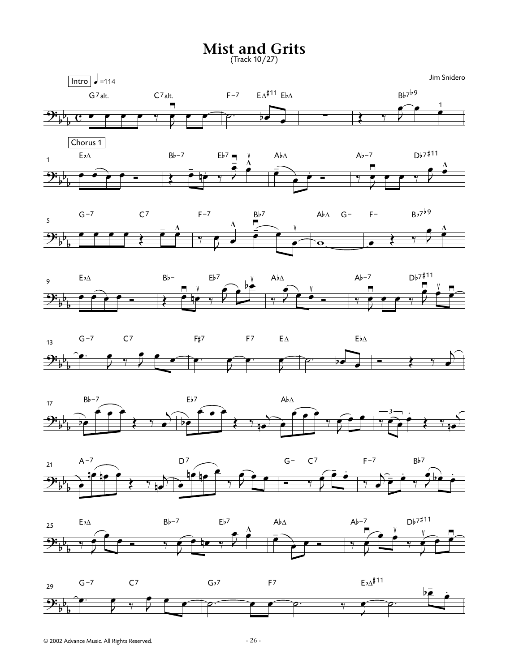## **Mist and Grits**

(Track 10/27)



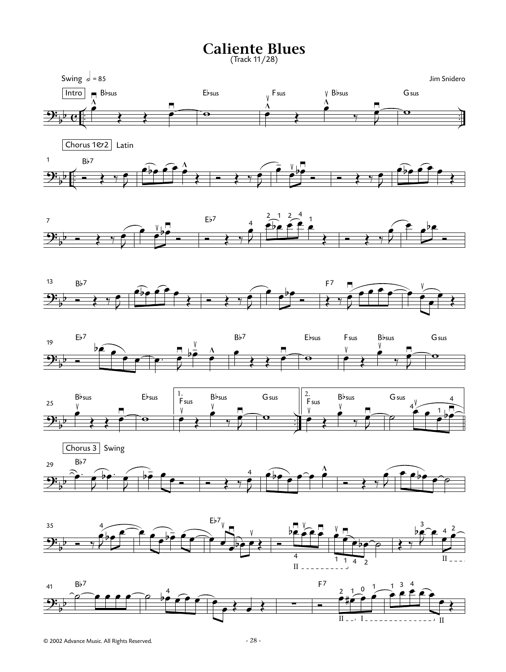## **Caliente Blues**

(Track 11/28)

















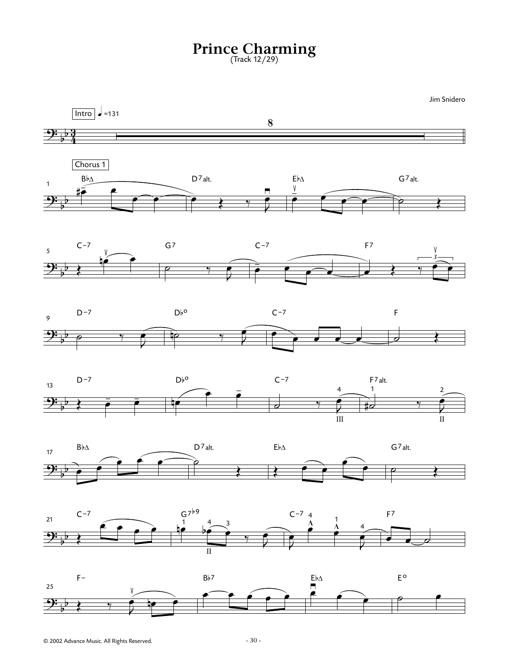## **Prince Charming** (Track 12/29)

Jim Snidero

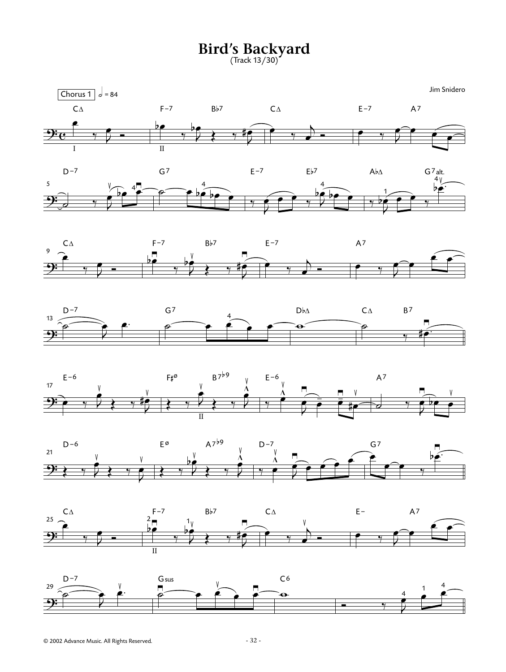**Bird's Backyard**

(Track 13/30)













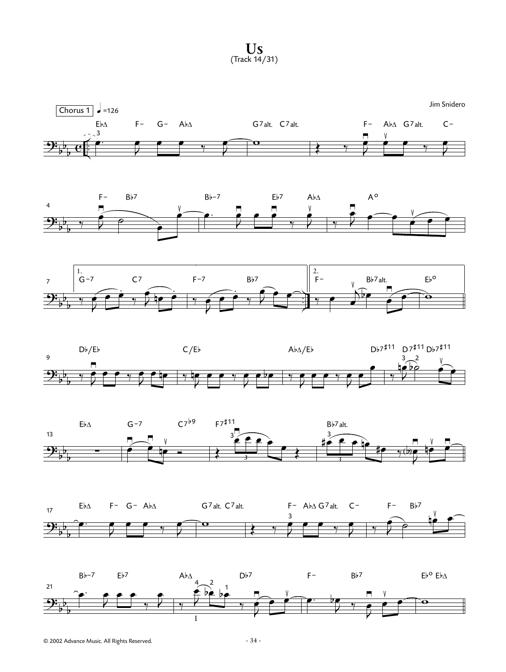